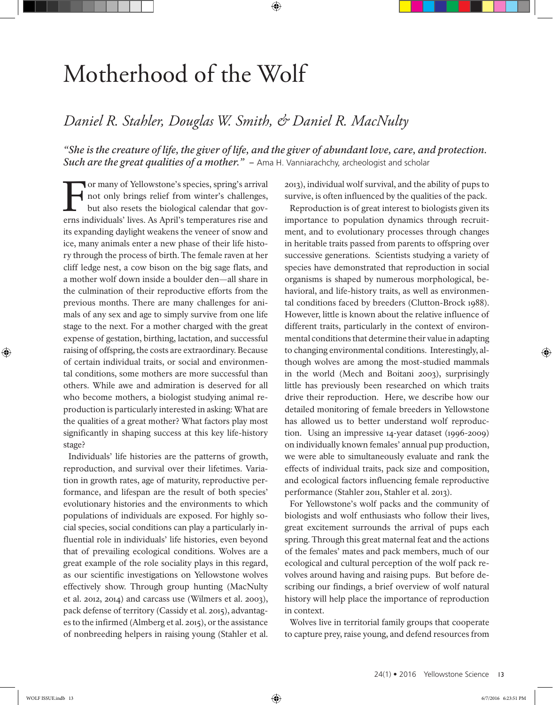## Motherhood of the Wolf

## *Daniel R. Stahler, Douglas W. Smith, & Daniel R. MacNulty*

*"She is the creature of life, the giver of life, and the giver of abundant love, care, and protection. Such are the great qualities of a mother.*" – Ama H. Vanniarachchy, archeologist and scholar

⊕

For many of Yellowstone's species, spring's arrival not only brings relief from winter's challenges, but also resets the biological calendar that governs individuals' lives. As April's temperatures rise and its expanding daylight weakens the veneer of snow and ice, many animals enter a new phase of their life history through the process of birth. The female raven at her cliff ledge nest, a cow bison on the big sage flats, and a mother wolf down inside a boulder den—all share in the culmination of their reproductive efforts from the previous months. There are many challenges for animals of any sex and age to simply survive from one life stage to the next. For a mother charged with the great expense of gestation, birthing, lactation, and successful raising of offspring, the costs are extraordinary. Because of certain individual traits, or social and environmental conditions, some mothers are more successful than others. While awe and admiration is deserved for all who become mothers, a biologist studying animal reproduction is particularly interested in asking: What are the qualities of a great mother? What factors play most significantly in shaping success at this key life-history stage?

Individuals' life histories are the patterns of growth, reproduction, and survival over their lifetimes. Variation in growth rates, age of maturity, reproductive performance, and lifespan are the result of both species' evolutionary histories and the environments to which populations of individuals are exposed. For highly social species, social conditions can play a particularly influential role in individuals' life histories, even beyond that of prevailing ecological conditions. Wolves are a great example of the role sociality plays in this regard, as our scientific investigations on Yellowstone wolves effectively show. Through group hunting (MacNulty et al. 2012, 2014) and carcass use (Wilmers et al. 2003), pack defense of territory (Cassidy et al. 2015), advantages to the infirmed (Almberg et al. 2015), or the assistance of nonbreeding helpers in raising young (Stahler et al. 2013), individual wolf survival, and the ability of pups to survive, is often influenced by the qualities of the pack.

Reproduction is of great interest to biologists given its importance to population dynamics through recruitment, and to evolutionary processes through changes in heritable traits passed from parents to offspring over successive generations. Scientists studying a variety of species have demonstrated that reproduction in social organisms is shaped by numerous morphological, behavioral, and life-history traits, as well as environmental conditions faced by breeders (Clutton-Brock 1988). However, little is known about the relative influence of different traits, particularly in the context of environmental conditions that determine their value in adapting to changing environmental conditions. Interestingly, although wolves are among the most-studied mammals in the world (Mech and Boitani 2003), surprisingly little has previously been researched on which traits drive their reproduction. Here, we describe how our detailed monitoring of female breeders in Yellowstone has allowed us to better understand wolf reproduction. Using an impressive 14-year dataset (1996-2009) on individually known females' annual pup production, we were able to simultaneously evaluate and rank the effects of individual traits, pack size and composition, and ecological factors influencing female reproductive performance (Stahler 2011, Stahler et al. 2013).

For Yellowstone's wolf packs and the community of biologists and wolf enthusiasts who follow their lives, great excitement surrounds the arrival of pups each spring. Through this great maternal feat and the actions of the females' mates and pack members, much of our ecological and cultural perception of the wolf pack revolves around having and raising pups. But before describing our findings, a brief overview of wolf natural history will help place the importance of reproduction in context.

Wolves live in territorial family groups that cooperate to capture prey, raise young, and defend resources from

 $\textcircled{\scriptsize{+}}$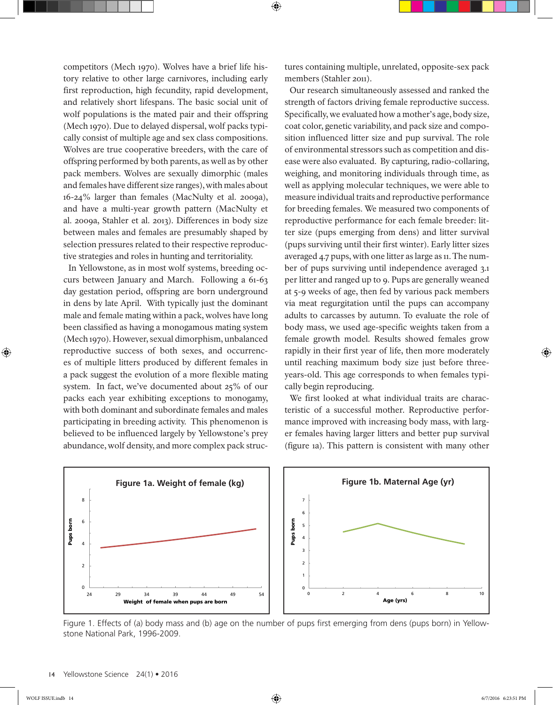competitors (Mech 1970). Wolves have a brief life history relative to other large carnivores, including early first reproduction, high fecundity, rapid development, and relatively short lifespans. The basic social unit of wolf populations is the mated pair and their offspring (Mech 1970). Due to delayed dispersal, wolf packs typically consist of multiple age and sex class compositions. Wolves are true cooperative breeders, with the care of offspring performed by both parents, as well as by other pack members. Wolves are sexually dimorphic (males and females have different size ranges), with males about 16-24% larger than females (MacNulty et al. 2009a), and have a multi-year growth pattern (MacNulty et al. 2009a, Stahler et al. 2013). Differences in body size between males and females are presumably shaped by selection pressures related to their respective reproductive strategies and roles in hunting and territoriality.

In Yellowstone, as in most wolf systems, breeding occurs between January and March. Following a 61-63 day gestation period, offspring are born underground in dens by late April. With typically just the dominant male and female mating within a pack, wolves have long been classified as having a monogamous mating system (Mech 1970). However, sexual dimorphism, unbalanced reproductive success of both sexes, and occurrences of multiple litters produced by different females in a pack suggest the evolution of a more flexible mating system. In fact, we've documented about 25% of our packs each year exhibiting exceptions to monogamy, with both dominant and subordinate females and males participating in breeding activity. This phenomenon is believed to be influenced largely by Yellowstone's prey abundance, wolf density, and more complex pack structures containing multiple, unrelated, opposite-sex pack members (Stahler 2011).

Our research simultaneously assessed and ranked the strength of factors driving female reproductive success. Specifically, we evaluated how a mother's age, body size, coat color, genetic variability, and pack size and composition influenced litter size and pup survival. The role of environmental stressors such as competition and disease were also evaluated. By capturing, radio-collaring, weighing, and monitoring individuals through time, as well as applying molecular techniques, we were able to measure individual traits and reproductive performance for breeding females. We measured two components of reproductive performance for each female breeder: litter size (pups emerging from dens) and litter survival (pups surviving until their first winter). Early litter sizes averaged 4.7 pups, with one litter as large as 11. The number of pups surviving until independence averaged 3.1 per litter and ranged up to 9. Pups are generally weaned at 5-9 weeks of age, then fed by various pack members via meat regurgitation until the pups can accompany adults to carcasses by autumn. To evaluate the role of body mass, we used age-specific weights taken from a female growth model. Results showed females grow rapidly in their first year of life, then more moderately until reaching maximum body size just before threeyears-old. This age corresponds to when females typically begin reproducing.

We first looked at what individual traits are characteristic of a successful mother. Reproductive performance improved with increasing body mass, with larger females having larger litters and better pup survival (figure 1a). This pattern is consistent with many other



 $\bigoplus$ 

Figure 1. Effects of (a) body mass and (b) age on the number of pups first emerging from dens (pups born) in Yellowstone National Park, 1996-2009.

 $\textcircled{\scriptsize{+}}$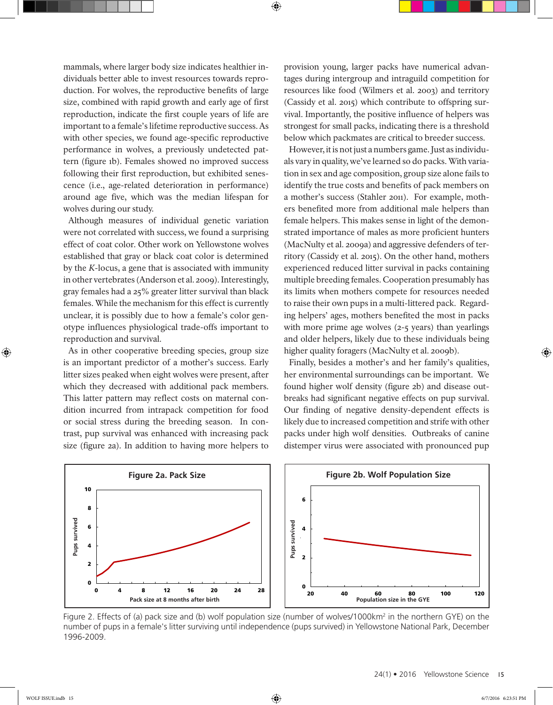mammals, where larger body size indicates healthier individuals better able to invest resources towards reproduction. For wolves, the reproductive benefits of large size, combined with rapid growth and early age of first reproduction, indicate the first couple years of life are important to a female's lifetime reproductive success. As with other species, we found age-specific reproductive performance in wolves, a previously undetected pattern (figure 1b). Females showed no improved success following their first reproduction, but exhibited senescence (i.e., age-related deterioration in performance) around age five, which was the median lifespan for wolves during our study.

Although measures of individual genetic variation were not correlated with success, we found a surprising effect of coat color. Other work on Yellowstone wolves established that gray or black coat color is determined by the *K*-locus, a gene that is associated with immunity in other vertebrates (Anderson et al. 2009). Interestingly, gray females had a 25% greater litter survival than black females. While the mechanism for this effect is currently unclear, it is possibly due to how a female's color genotype influences physiological trade-offs important to reproduction and survival.

As in other cooperative breeding species, group size is an important predictor of a mother's success. Early litter sizes peaked when eight wolves were present, after which they decreased with additional pack members. This latter pattern may reflect costs on maternal condition incurred from intrapack competition for food or social stress during the breeding season. In contrast, pup survival was enhanced with increasing pack size (figure 2a). In addition to having more helpers to

provision young, larger packs have numerical advantages during intergroup and intraguild competition for resources like food (Wilmers et al. 2003) and territory (Cassidy et al. 2015) which contribute to offspring survival. Importantly, the positive influence of helpers was strongest for small packs, indicating there is a threshold below which packmates are critical to breeder success.

However, it is not just a numbers game. Just as individuals vary in quality, we've learned so do packs. With variation in sex and age composition, group size alone fails to identify the true costs and benefits of pack members on a mother's success (Stahler 2011). For example, mothers benefited more from additional male helpers than female helpers. This makes sense in light of the demonstrated importance of males as more proficient hunters (MacNulty et al. 2009a) and aggressive defenders of territory (Cassidy et al. 2015). On the other hand, mothers experienced reduced litter survival in packs containing multiple breeding females. Cooperation presumably has its limits when mothers compete for resources needed to raise their own pups in a multi-littered pack. Regarding helpers' ages, mothers benefited the most in packs with more prime age wolves (2-5 years) than yearlings and older helpers, likely due to these individuals being higher quality foragers (MacNulty et al. 2009b).

Finally, besides a mother's and her family's qualities, her environmental surroundings can be important. We found higher wolf density (figure 2b) and disease outbreaks had significant negative effects on pup survival. Our finding of negative density-dependent effects is likely due to increased competition and strife with other packs under high wolf densities. Outbreaks of canine distemper virus were associated with pronounced pup



⊕

Figure 2. Effects of (a) pack size and (b) wolf population size (number of wolves/1000km<sup>2</sup> in the northern GYE) on the number of pups in a female's litter surviving until independence (pups survived) in Yellowstone National Park, December 1996-2009.

 $\textcircled{\scriptsize{+}}$